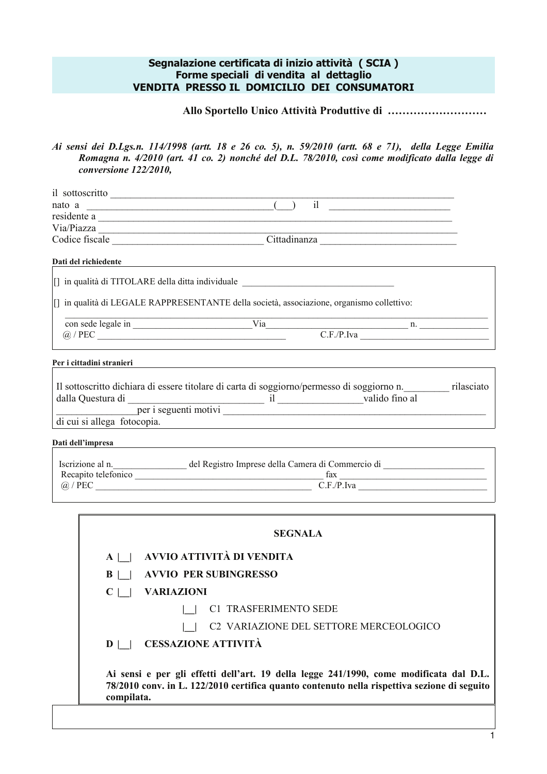#### Segnalazione certificata di inizio attività (SCIA) Forme speciali di vendita al dettaglio VENDITA PRESSO IL DOMICILIO DEI CONSUMATORI

Ai sensi dei D.Lgs.n. 114/1998 (artt. 18 e 26 co. 5), n. 59/2010 (artt. 68 e 71), della Legge Emilia Romagna n. 4/2010 (art. 41 co. 2) nonché del D.L. 78/2010, così come modificato dalla legge di conversione 122/2010.

| ıl sottoscritto      |              |  |
|----------------------|--------------|--|
| nato a               |              |  |
| residente a          |              |  |
| Via/Piazza           |              |  |
| Codice fiscale       | Cittadinanza |  |
| Dati del richiedente |              |  |
|                      |              |  |

Dati del richiedente

[] in qualità di TITOLARE della ditta individuale

[] in qualità di LEGALE RAPPRESENTANTE della società, associazione, organismo collettivo:

| con sede 1                   | па  |  |
|------------------------------|-----|--|
| DГ<br>$\omega$<br>$\tilde{}$ | ◡.ェ |  |

Per i cittadini stranieri

| Il sottoscritto dichiara di essere titolare di carta di soggiorno/permesso di soggiorno n. |                       |  | rilasciato     |  |
|--------------------------------------------------------------------------------------------|-----------------------|--|----------------|--|
| dalla Questura di                                                                          |                       |  | valido fino al |  |
|                                                                                            | per i seguenti motivi |  |                |  |
| di cui si allega fotocopia.                                                                |                       |  |                |  |

Dati dell'impresa

| Iscrizione al n.    | del Registro Imprese della Camera di Commercio di |
|---------------------|---------------------------------------------------|
| Recapito telefonico | tax                                               |
| $\omega$ / PEC      | $C$ F /P Iva                                      |

|                | <b>SEGNALA</b>                                                                                                                                                                        |
|----------------|---------------------------------------------------------------------------------------------------------------------------------------------------------------------------------------|
| $A \mid \cdot$ | AVVIO ATTIVITÀ DI VENDITA                                                                                                                                                             |
| B              | <b>AVVIO PER SUBINGRESSO</b>                                                                                                                                                          |
|                | <b>VARIAZIONI</b>                                                                                                                                                                     |
|                | <b>C1 TRASFERIMENTO SEDE</b>                                                                                                                                                          |
|                | C2 VARIAZIONE DEL SETTORE MERCEOLOGICO                                                                                                                                                |
| $\bf{D}$       | <b>CESSAZIONE ATTIVITÀ</b>                                                                                                                                                            |
| compilata.     | Ai sensi e per gli effetti dell'art. 19 della legge 241/1990, come modificata dal D.L.<br>78/2010 conv. in L. 122/2010 certifica quanto contenuto nella rispettiva sezione di seguito |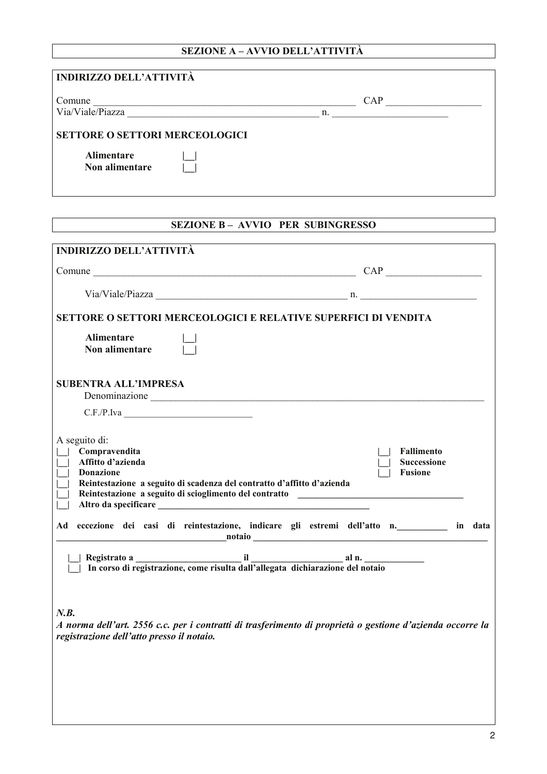# SEZIONE A - AVVIO DELL'ATTIVITÀ

| <b>INDIRIZZO DELL'ATTIVITÀ</b>                                               |     |  |
|------------------------------------------------------------------------------|-----|--|
| Comune                                                                       | CAP |  |
| Via/Viale/Piazza                                                             | n.  |  |
| <b>SETTORE O SETTORI MERCEOLOGICI</b><br><b>Alimentare</b><br>Non alimentare |     |  |

| SEZIONE B - AVVIO PER SUBINGRESSO                                                                                                                                                                                                                                                                  |
|----------------------------------------------------------------------------------------------------------------------------------------------------------------------------------------------------------------------------------------------------------------------------------------------------|
| <b>INDIRIZZO DELL'ATTIVITÀ</b>                                                                                                                                                                                                                                                                     |
|                                                                                                                                                                                                                                                                                                    |
| Comune Comune CAP                                                                                                                                                                                                                                                                                  |
|                                                                                                                                                                                                                                                                                                    |
| SETTORE O SETTORI MERCEOLOGICI E RELATIVE SUPERFICI DI VENDITA                                                                                                                                                                                                                                     |
| <b>Alimentare</b><br>Non alimentare                                                                                                                                                                                                                                                                |
| <b>SUBENTRA ALL'IMPRESA</b>                                                                                                                                                                                                                                                                        |
| C.F.P.Iva                                                                                                                                                                                                                                                                                          |
| A seguito di:<br>Compravendita<br><b>Fallimento</b><br>Affitto d'azienda<br><b>Successione</b><br><b>Donazione</b><br><b>Fusione</b><br>Reintestazione a seguito di scadenza del contratto d'affitto d'azienda<br>Reintestazione a seguito di scioglimento del contratto _________________________ |
| Ad eccezione dei casi di reintestazione, indicare gli estremi dell'atto n. _______ in data<br><u>notaio processo de la contrada de la contrada de la contrada de la contrada de la contrada de la contrada de l</u>                                                                                |
| In corso di registrazione, come risulta dall'allegata dichiarazione del notaio                                                                                                                                                                                                                     |
| N.B.<br>A norma dell'art. 2556 c.c. per i contratti di trasferimento di proprietà o gestione d'azienda occorre la<br>registrazione dell'atto presso il notaio.                                                                                                                                     |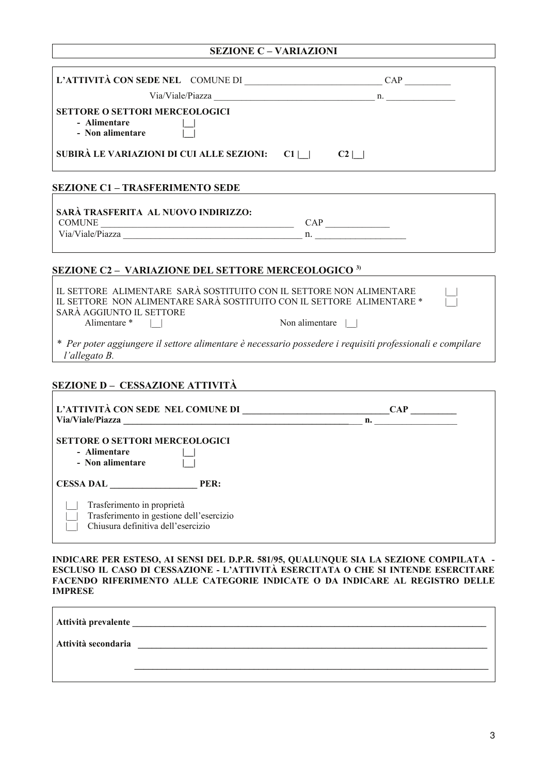| <b>SEZIONE C - VARIAZIONI</b>                                                                                                                                                                                  |  |  |
|----------------------------------------------------------------------------------------------------------------------------------------------------------------------------------------------------------------|--|--|
|                                                                                                                                                                                                                |  |  |
|                                                                                                                                                                                                                |  |  |
| <b>SETTORE O SETTORI MERCEOLOGICI</b><br>- Alimentare<br>- Non alimentare                                                                                                                                      |  |  |
| SUBIRÀ LE VARIAZIONI DI CUI ALLE SEZIONI: C1    C2                                                                                                                                                             |  |  |
| <b>SEZIONE C1 - TRASFERIMENTO SEDE</b>                                                                                                                                                                         |  |  |
| SARÀ TRASFERITA AL NUOVO INDIRIZZO:<br>COMUNE $\qquad \qquad \qquad \qquad \qquad \qquad \text{CAP} \qquad \qquad \text{CAP}$                                                                                  |  |  |
| <b>SEZIONE C2 - VARIAZIONE DEL SETTORE MERCEOLOGICO 3)</b>                                                                                                                                                     |  |  |
| IL SETTORE ALIMENTARE SARÀ SOSTITUITO CON IL SETTORE NON ALIMENTARE<br>IL SETTORE NON ALIMENTARE SARÀ SOSTITUITO CON IL SETTORE ALIMENTARE *<br>SARÀ AGGIUNTO IL SETTORE<br>Alimentare *    <br>Non alimentare |  |  |
| * Per poter aggiungere il settore alimentare è necessario possedere i requisiti professionali e compilare<br>l'allegatoB.                                                                                      |  |  |
| SEZIONE D - CESSAZIONE ATTIVITÀ                                                                                                                                                                                |  |  |
| Via/Viale/Piazza                                                                                                                                                                                               |  |  |
| <b>SETTORE O SETTORI MERCEOLOGICI</b><br>- Alimentare<br>- Non alimentare                                                                                                                                      |  |  |
| PER:<br><b>CESSA DAL</b>                                                                                                                                                                                       |  |  |
| Trasferimento in proprietà<br>Trasferimento in gestione dell'esercizio<br>Chiusura definitiva dell'esercizio                                                                                                   |  |  |
| INDICARE PER ESTESO, AI SENSI DEL D.P.R. 581/95, QUALUNQUE SIA LA SEZIONE COMPILATA -<br>ESCLUSO IL CASO DI CESSAZIONE - L'ATTIVITÀ ESERCITATA O CHE SI INTENDE ESERCITARE                                     |  |  |

ESCLUSO IL CASO DI CESSAZIONE - L'ATTIVITA ESERCITATA O CHE SI INTENDE ESERCITARE<br>FACENDO RIFERIMENTO ALLE CATEGORIE INDICATE O DA INDICARE AL REGISTRO DELLE **IMPRESE** 

| Attività prevalente |  |
|---------------------|--|
| Attività secondaria |  |
|                     |  |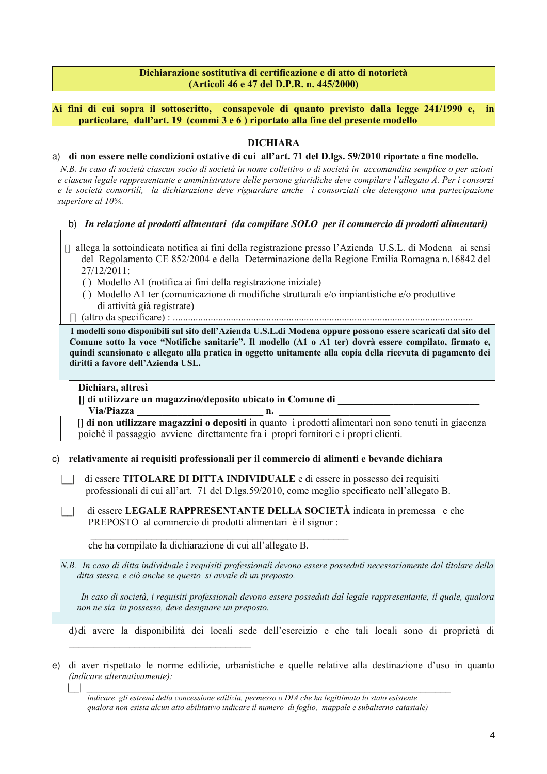#### Dichiarazione sostitutiva di certificazione e di atto di notorietà (Articoli 46 e 47 del D.P.R. n. 445/2000)

#### Ai fini di cui sopra il sottoscritto, consapevole di quanto previsto dalla legge 241/1990 e, in particolare, dall'art. 19 (commi 3 e 6) riportato alla fine del presente modello

#### **DICHIARA**

#### a) di non essere nelle condizioni ostative di cui all'art. 71 del D.lgs. 59/2010 riportate a fine modello.

N.B. In caso di società ciascun socio di società in nome collettivo o di società in accomandita semplice o per azioni e ciascun legale rappresentante e amministratore delle persone giuridiche deve compilare l'allegato A. Per i consorzi e le società consortili, la dichiarazione deve riguardare anche i consorziati che detengono una partecipazione superiore al 10%.

#### b) In relazione ai prodotti alimentari (da compilare SOLO per il commercio di prodotti alimentari)

- [] allega la sottoindicata notifica ai fini della registrazione presso l'Azienda U.S.L. di Modena ai sensi del Regolamento CE 852/2004 e della Determinazione della Regione Emilia Romagna n.16842 del  $27/12/2011$ :
	- () Modello A1 (notifica ai fini della registrazione iniziale)
	- () Modello A1 ter (comunicazione di modifiche strutturali e/o impiantistiche e/o produttive di attività già registrate)

#### 

I modelli sono disponibili sul sito dell'Azienda U.S.L.di Modena oppure possono essere scaricati dal sito del Comune sotto la voce "Notifiche sanitarie". Il modello (A1 o A1 ter) dovrà essere compilato, firmato e, quindi scansionato e allegato alla pratica in oggetto unitamente alla copia della ricevuta di pagamento dei diritti a favore dell'Azienda USL.

#### Dichiara, altresì

#### Il di utilizzare un magazzino/deposito ubicato in Comune di

**Via/Piazza** 

 $\Box$ 

Il di non utilizzare magazzini o depositi in quanto i prodotti alimentari non sono tenuti in giacenza poichè il passaggio avviene direttamente fra i propri fornitori e i propri clienti.

n.

#### c) relativamente ai requisiti professionali per il commercio di alimenti e bevande dichiara

- di essere **TITOLARE DI DITTA INDIVIDUALE** e di essere in possesso dei requisiti professionali di cui all'art. 71 del D.lgs.59/2010, come meglio specificato nell'allegato B.
- di essere LEGALE RAPPRESENTANTE DELLA SOCIETÀ indicata in premessa e che  $\Box$ PREPOSTO al commercio di prodotti alimentari è il signor:

che ha compilato la dichiarazione di cui all'allegato B.

N.B. In caso di ditta individuale i requisiti professionali devono essere posseduti necessariamente dal titolare della ditta stessa, e ciò anche se questo si avvale di un preposto.

In caso di società, i requisiti professionali devono essere posseduti dal legale rappresentante, il quale, qualora non ne sia in possesso, deve designare un preposto.

d'esercizio e che tali locali se che dell'esercizio e che tali locali sono di proprietà di

e) di aver rispettato le norme edilizie, urbanistiche e quelle relative alla destinazione d'uso in quanto (indicare alternativamente):

indicare gli estremi della concessione edilizia, permesso o DIA che ha legittimato lo stato esistente qualora non esista alcun atto abilitativo indicare il numero di foglio, mappale e subalterno catastale)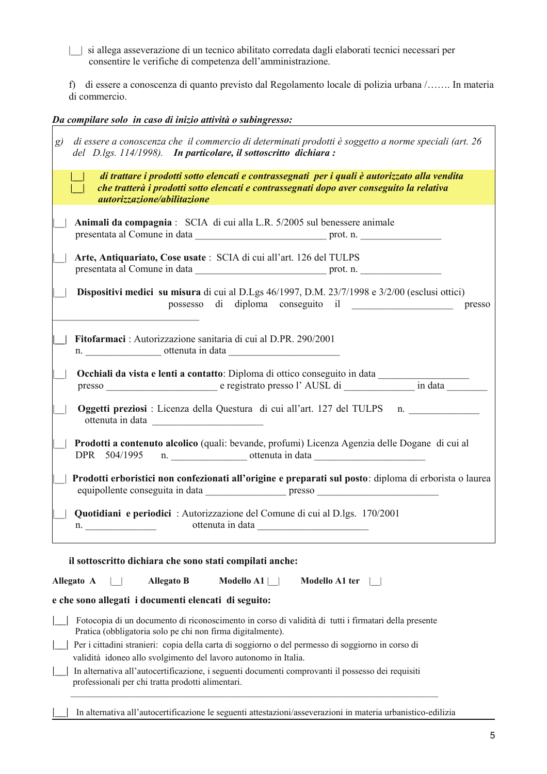| | si allega asseverazione di un tecnico abilitato corredata dagli elaborati tecnici necessari per consentire le verifiche di competenza dell'amministrazione.

f) di essere a conoscenza di quanto previsto dal Regolamento locale di polizia urbana /....... In materia di commercio.

#### Da compilare solo in caso di inizio attività o subingresso:

| g) | di essere a conoscenza che il commercio di determinati prodotti è soggetto a norme speciali (art. 26<br>del D.lgs. 114/1998). In particolare, il sottoscritto dichiara:                                                  |
|----|--------------------------------------------------------------------------------------------------------------------------------------------------------------------------------------------------------------------------|
|    | di trattare i prodotti sotto elencati e contrassegnati per i quali è autorizzato alla vendita<br>che tratterà i prodotti sotto elencati e contrassegnati dopo aver conseguito la relativa<br>autorizzazione/abilitazione |
|    | Animali da compagnia : SCIA di cui alla L.R. 5/2005 sul benessere animale                                                                                                                                                |
|    | Arte, Antiquariato, Cose usate : SCIA di cui all'art. 126 del TULPS                                                                                                                                                      |
|    | Dispositivi medici su misura di cui al D.Lgs 46/1997, D.M. 23/7/1998 e 3/2/00 (esclusi ottici)<br>presso                                                                                                                 |
|    | Fitofarmaci : Autorizzazione sanitaria di cui al D.PR. 290/2001                                                                                                                                                          |
|    | Occhiali da vista e lenti a contatto: Diploma di ottico conseguito in data<br>presso<br><u>e registrato presso l'AUSL di</u> <u>in data</u><br>in data                                                                   |
|    | Oggetti preziosi : Licenza della Questura di cui all'art. 127 del TULPS n.<br>ottenuta in data                                                                                                                           |
|    | Prodotti a contenuto alcolico (quali: bevande, profumi) Licenza Agenzia delle Dogane di cui al<br>DPR 504/1995                                                                                                           |
|    | Prodotti erboristici non confezionati all'origine e preparati sul posto: diploma di erborista o laurea                                                                                                                   |
|    | Quotidiani e periodici : Autorizzazione del Comune di cui al D.lgs. 170/2001                                                                                                                                             |
|    | il sottoscritto dichiara che sono stati compilati anche:                                                                                                                                                                 |
|    | Allegato A<br><b>Allegato B</b><br>Modello A1 $\vert$ $\vert$<br>Modello A1 ter<br>e che sono allegati i documenti elencati di seguito:                                                                                  |
|    | Fotocopia di un documento di riconoscimento in corso di validità di tutti i firmatari della presente                                                                                                                     |
|    | Pratica (obbligatoria solo pe chi non firma digitalmente).                                                                                                                                                               |
|    | Per i cittadini stranieri: copia della carta di soggiorno o del permesso di soggiorno in corso di<br>validità idoneo allo svolgimento del lavoro autonomo in Italia.                                                     |
|    | In alternativa all'autocertificazione, i seguenti documenti comprovanti il possesso dei requisiti<br>professionali per chi tratta prodotti alimentari.                                                                   |
|    | In alternativa all'autocertificazione le seguenti attestazioni/asseverazioni in materia urbanistico-edilizia                                                                                                             |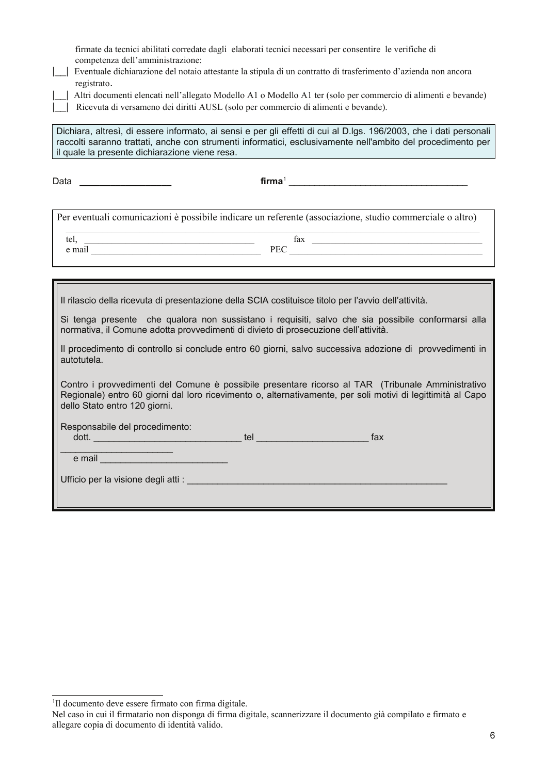| firmate da tecnici abilitati corredate dagli elaborati tecnici necessari per consentire le verifiche di<br>competenza dell'amministrazione:                                                                                                                                                                                      |  |  |
|----------------------------------------------------------------------------------------------------------------------------------------------------------------------------------------------------------------------------------------------------------------------------------------------------------------------------------|--|--|
| Eventuale dichiarazione del notaio attestante la stipula di un contratto di trasferimento d'azienda non ancora                                                                                                                                                                                                                   |  |  |
| registrato.<br>Altri documenti elencati nell'allegato Modello A1 o Modello A1 ter (solo per commercio di alimenti e bevande)                                                                                                                                                                                                     |  |  |
| Ricevuta di versameno dei diritti AUSL (solo per commercio di alimenti e bevande).                                                                                                                                                                                                                                               |  |  |
| Dichiara, altresì, di essere informato, ai sensi e per gli effetti di cui al D.lgs. 196/2003, che i dati personali<br>raccolti saranno trattati, anche con strumenti informatici, esclusivamente nell'ambito del procedimento per<br>il quale la presente dichiarazione viene resa.                                              |  |  |
| Data                                                                                                                                                                                                                                                                                                                             |  |  |
| Per eventuali comunicazioni è possibile indicare un referente (associazione, studio commerciale o altro)                                                                                                                                                                                                                         |  |  |
| $\int$ $\frac{1}{2}$ $\int$ $\frac{1}{2}$ $\int$ $\frac{1}{2}$ $\int$ $\frac{1}{2}$ $\int$ $\frac{1}{2}$ $\int$ $\frac{1}{2}$ $\int$ $\frac{1}{2}$ $\int$ $\frac{1}{2}$ $\int$ $\frac{1}{2}$ $\int$ $\frac{1}{2}$ $\int$ $\frac{1}{2}$ $\int$ $\frac{1}{2}$ $\int$ $\frac{1}{2}$ $\int$ $\frac{1}{2}$ $\int$ $\frac{1}{$<br>tel, |  |  |
| tel, tax and tax and tax and tax and tax and tax and tax and tax and tax and tax and tax and tax and tax and tax and tax and tax and tax and tax and tax and tax and tax and tax and tax and tax and tax and tax and tax and t                                                                                                   |  |  |
|                                                                                                                                                                                                                                                                                                                                  |  |  |
| Il rilascio della ricevuta di presentazione della SCIA costituisce titolo per l'avvio dell'attività.                                                                                                                                                                                                                             |  |  |
| Si tenga presente che qualora non sussistano i requisiti, salvo che sia possibile conformarsi alla<br>normativa, il Comune adotta provvedimenti di divieto di prosecuzione dell'attività.                                                                                                                                        |  |  |
| Il procedimento di controllo si conclude entro 60 giorni, salvo successiva adozione di provvedimenti in<br>autotutela.                                                                                                                                                                                                           |  |  |
| Contro i provvedimenti del Comune è possibile presentare ricorso al TAR (Tribunale Amministrativo<br>Regionale) entro 60 giorni dal loro ricevimento o, alternativamente, per soli motivi di legittimità al Capo<br>dello Stato entro 120 giorni.                                                                                |  |  |
| Responsabile del procedimento:                                                                                                                                                                                                                                                                                                   |  |  |
| fax                                                                                                                                                                                                                                                                                                                              |  |  |
| e mail and the contract of the contract of the contract of the contract of the contract of the contract of the                                                                                                                                                                                                                   |  |  |
| Ufficio per la visione degli atti :                                                                                                                                                                                                                                                                                              |  |  |
|                                                                                                                                                                                                                                                                                                                                  |  |  |

<sup>&</sup>lt;sup>1</sup>Il documento deve essere firmato con firma digitale.<br>Nel caso in cui il firmatario non disponga di firma digitale, scannerizzare il documento già compilato e firmato e<br>allegare copia di documento di identità valido.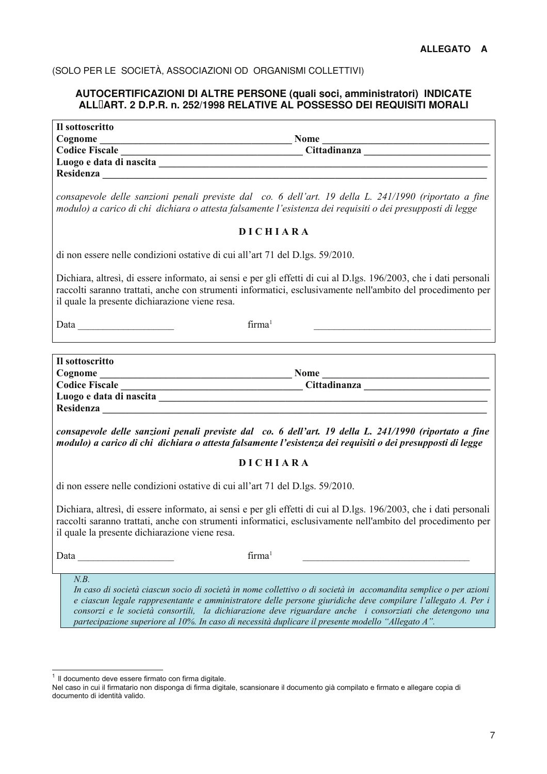### (SOLO PER LE SOCIETÀ, ASSOCIAZIONI OD ORGANISMI COLLETTIVI)

# AUTOCERTIFICAZIONI DI ALTRE PERSONE (quali soci, amministratori) INDICATE<br>ALL[IART. 2 D.P.R. n. 252/1998 RELATIVE AL POSSESSO DEI REQUISITI MORALI

| Il sottoscritto                                                                                                                                                                                                                                                                     |                                                                                                                                                                                                                                                                                                                                                                                                                                                 |  |  |
|-------------------------------------------------------------------------------------------------------------------------------------------------------------------------------------------------------------------------------------------------------------------------------------|-------------------------------------------------------------------------------------------------------------------------------------------------------------------------------------------------------------------------------------------------------------------------------------------------------------------------------------------------------------------------------------------------------------------------------------------------|--|--|
|                                                                                                                                                                                                                                                                                     | Cognome<br>Codice Fiscale<br>Codice Contradinanza<br>Cittadinanza                                                                                                                                                                                                                                                                                                                                                                               |  |  |
|                                                                                                                                                                                                                                                                                     |                                                                                                                                                                                                                                                                                                                                                                                                                                                 |  |  |
|                                                                                                                                                                                                                                                                                     |                                                                                                                                                                                                                                                                                                                                                                                                                                                 |  |  |
|                                                                                                                                                                                                                                                                                     |                                                                                                                                                                                                                                                                                                                                                                                                                                                 |  |  |
|                                                                                                                                                                                                                                                                                     | consapevole delle sanzioni penali previste dal co. 6 dell'art. 19 della L. 241/1990 (riportato a fine<br>modulo) a carico di chi dichiara o attesta falsamente l'esistenza dei requisiti o dei presupposti di legge                                                                                                                                                                                                                             |  |  |
|                                                                                                                                                                                                                                                                                     | <b>DICHIARA</b>                                                                                                                                                                                                                                                                                                                                                                                                                                 |  |  |
|                                                                                                                                                                                                                                                                                     | di non essere nelle condizioni ostative di cui all'art 71 del D.lgs. 59/2010.                                                                                                                                                                                                                                                                                                                                                                   |  |  |
| Dichiara, altresì, di essere informato, ai sensi e per gli effetti di cui al D.lgs. 196/2003, che i dati personali<br>raccolti saranno trattati, anche con strumenti informatici, esclusivamente nell'ambito del procedimento per<br>il quale la presente dichiarazione viene resa. |                                                                                                                                                                                                                                                                                                                                                                                                                                                 |  |  |
|                                                                                                                                                                                                                                                                                     | firma <sup>1</sup>                                                                                                                                                                                                                                                                                                                                                                                                                              |  |  |
|                                                                                                                                                                                                                                                                                     | ,我们也不会有什么。""我们的人,我们也不会有什么?""我们的人,我们也不会有什么?""我们的人,我们也不会有什么?""我们的人,我们也不会有什么?""我们的人                                                                                                                                                                                                                                                                                                                                                                |  |  |
| Il sottoscritto                                                                                                                                                                                                                                                                     |                                                                                                                                                                                                                                                                                                                                                                                                                                                 |  |  |
|                                                                                                                                                                                                                                                                                     |                                                                                                                                                                                                                                                                                                                                                                                                                                                 |  |  |
|                                                                                                                                                                                                                                                                                     | Cognome<br>Codice Fiscale<br>Codice Fiscale<br>Cittadinanza                                                                                                                                                                                                                                                                                                                                                                                     |  |  |
|                                                                                                                                                                                                                                                                                     |                                                                                                                                                                                                                                                                                                                                                                                                                                                 |  |  |
|                                                                                                                                                                                                                                                                                     |                                                                                                                                                                                                                                                                                                                                                                                                                                                 |  |  |
| consapevole delle sanzioni penali previste dal co. 6 dell'art. 19 della L. 241/1990 (riportato a fine<br>modulo) a carico di chi dichiara o attesta falsamente l'esistenza dei requisiti o dei presupposti di legge                                                                 |                                                                                                                                                                                                                                                                                                                                                                                                                                                 |  |  |
|                                                                                                                                                                                                                                                                                     | <b>DICHIARA</b>                                                                                                                                                                                                                                                                                                                                                                                                                                 |  |  |
| di non essere nelle condizioni ostative di cui all'art 71 del D.lgs. 59/2010.                                                                                                                                                                                                       |                                                                                                                                                                                                                                                                                                                                                                                                                                                 |  |  |
| Dichiara, altresì, di essere informato, ai sensi e per gli effetti di cui al D.lgs. 196/2003, che i dati personali<br>raccolti saranno trattati, anche con strumenti informatici, esclusivamente nell'ambito del procedimento per<br>il quale la presente dichiarazione viene resa. |                                                                                                                                                                                                                                                                                                                                                                                                                                                 |  |  |
|                                                                                                                                                                                                                                                                                     | firma <sup>1</sup><br>Data                                                                                                                                                                                                                                                                                                                                                                                                                      |  |  |
| N.B.                                                                                                                                                                                                                                                                                |                                                                                                                                                                                                                                                                                                                                                                                                                                                 |  |  |
|                                                                                                                                                                                                                                                                                     | In caso di società ciascun socio di società in nome collettivo o di società in accomandita semplice o per azioni<br>e ciascun legale rappresentante e amministratore delle persone giuridiche deve compilare l'allegato A. Per i<br>consorzi e le società consortili, la dichiarazione deve riguardare anche i consorziati che detengono una<br>nartecinazione superiore al 10% In caso di necessità duplicare il presente modello "Allegato A" |  |  |

<sup>&</sup>lt;sup>1</sup> Il documento deve essere firmato con firma digitale.

Nel caso in cui il firmatario non disponga di firma digitale, scansionare il documento già compilato e firmato e allegare copia di documento di identità valido.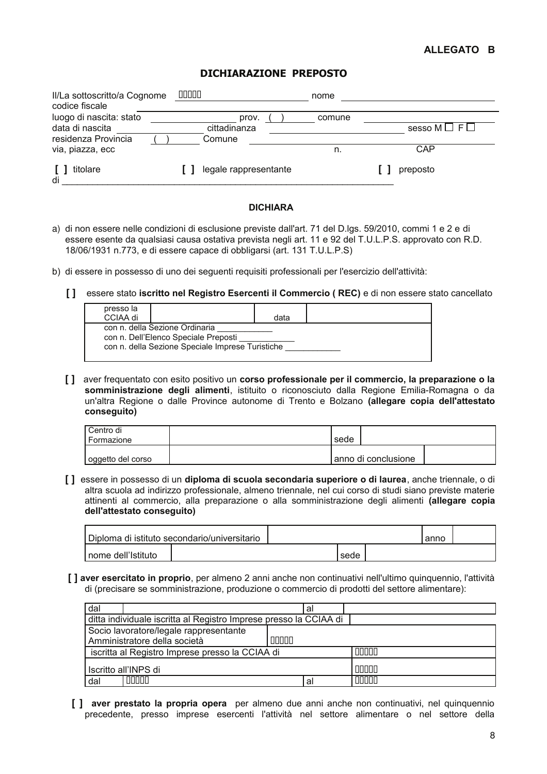### ALLEGATO B

#### DICHIARAZIONE PREPOSTO

| II/La sottoscritto/a Cognome<br>codice fiscale | 00000 |                       | nome   |                         |  |
|------------------------------------------------|-------|-----------------------|--------|-------------------------|--|
| luogo di nascita: stato                        |       | prov.                 | comune |                         |  |
| data di nascita                                |       | cittadinanza          |        | sesso M $\Box$ F $\Box$ |  |
| residenza Provincia                            |       | Comune                |        |                         |  |
| via, piazza, ecc                               |       |                       | n.     | <b>CAP</b>              |  |
| titolare<br>di                                 |       | legale rappresentante |        | preposto                |  |

#### **DICHIARA**

- a) di non essere nelle condizioni di esclusione previste dall'art. 71 del D.lgs. 59/2010, commi 1 e 2 e di essere esente da qualsiasi causa ostativa prevista negli art. 11 e 92 del T.U.L.P.S. approvato con R.D. 18/06/1931 n.773, e di essere capace di obbligarsi (art. 131 T.U.L.P.S)
- b) di essere in possesso di uno dei sequenti requisiti professionali per l'esercizio dell'attività:
	- [] essere stato iscritto nel Registro Esercenti il Commercio (REC) e di non essere stato cancellato

| presso la<br>CCIAA di |                                                                                                                            | data |  |
|-----------------------|----------------------------------------------------------------------------------------------------------------------------|------|--|
|                       |                                                                                                                            |      |  |
|                       | con n. della Sezione Ordinaria<br>con n. Dell'Elenco Speciale Preposti<br>con n. della Sezione Speciale Imprese Turistiche |      |  |

[] aver frequentato con esito positivo un corso professionale per il commercio, la preparazione o la somministrazione degli alimenti, istituito o riconosciuto dalla Regione Emilia-Romagna o da un'altra Regione o dalle Province autonome di Trento e Bolzano (allegare copia dell'attestato conseguito)

| l Centro di       |      |                     |  |
|-------------------|------|---------------------|--|
| Formazione        | sede |                     |  |
|                   |      |                     |  |
| oggetto del corso |      | anno di conclusione |  |

[] essere in possesso di un diploma di scuola secondaria superiore o di laurea, anche triennale, o di altra scuola ad indirizzo professionale, almeno triennale, nel cui corso di studi siano previste materie attinenti al commercio, alla preparazione o alla somministrazione degli alimenti (allegare copia dell'attestato consequito)

|                      | Diploma di istituto secondario/universitario |      | anno |  |
|----------------------|----------------------------------------------|------|------|--|
| I nome dell'Istituto |                                              | sede |      |  |

[] aver esercitato in proprio, per almeno 2 anni anche non continuativi nell'ultimo quinquennio, l'attività di (precisare se somministrazione, produzione o commercio di prodotti del settore alimentare):

| dal                                             |                                                                   |  | al |       |
|-------------------------------------------------|-------------------------------------------------------------------|--|----|-------|
|                                                 | ditta individuale iscritta al Registro Imprese presso la CCIAA di |  |    |       |
|                                                 | Socio lavoratore/legale rappresentante                            |  |    |       |
| 00000<br>Amministratore della società           |                                                                   |  |    |       |
| iscritta al Registro Imprese presso la CCIAA di |                                                                   |  |    | 00000 |
| Iscritto all'INPS di                            |                                                                   |  |    | 00000 |
| dal                                             | 00000                                                             |  | al | 00000 |

[ ] aver prestato la propria opera per almeno due anni anche non continuativi, nel quinquennio precedente, presso imprese esercenti l'attività nel settore alimentare o nel settore della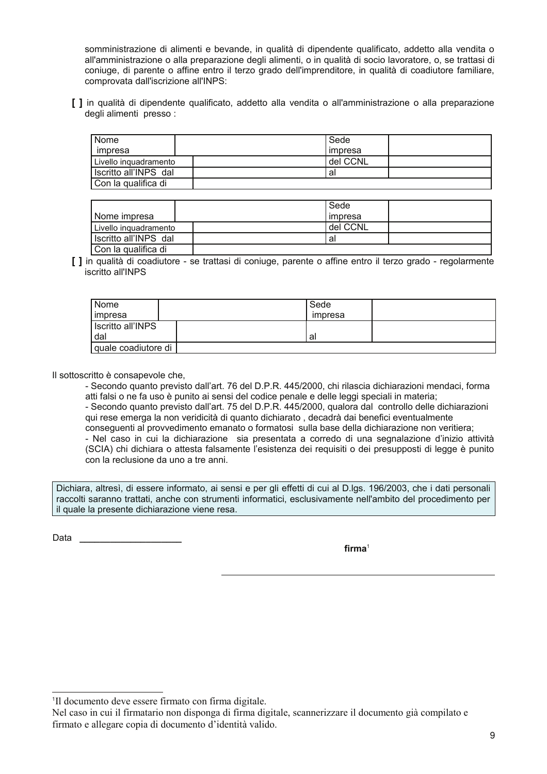somministrazione di alimenti e bevande, in qualità di dipendente qualificato, addetto alla vendita o all'amministrazione o alla preparazione degli alimenti, o in qualità di socio lavoratore, o, se trattasi di coniuge, di parente o affine entro il terzo grado dell'imprenditore, in qualità di coadiutore familiare, comprovata dall'iscrizione all'INPS:

[ ] in qualità di dipendente qualificato, addetto alla vendita o all'amministrazione o alla preparazione degli alimenti presso :

| Nome                  | Sede       |  |
|-----------------------|------------|--|
| impresa               | l impresa  |  |
| Livello inguadramento | l del CCNL |  |
| Iscritto all'INPS dal | -al        |  |
| Con la qualifica di   |            |  |

|                         | Sede       |  |
|-------------------------|------------|--|
| I Nome impresa          | l impresa  |  |
| Livello inguadramento   | I del CCNL |  |
| I Iscritto all'INPS dal | ' al       |  |
| l Con la qualifica di   |            |  |

[ ] in qualità di coadiutore - se trattasi di coniuge, parente o affine entro il terzo grado - regolarmente iscritto all'INPS

| l Nome              | Sede    |  |
|---------------------|---------|--|
| impresa             | impresa |  |
| I Iscritto all'INPS |         |  |
| dal                 | al      |  |
| quale coadiutore di |         |  |

Il sottoscritto è consapevole che,

- Secondo quanto previsto dall'art. 76 del D.P.R. 445/2000, chi rilascia dichiarazioni mendaci, forma atti falsi o ne fa uso è punito ai sensi del codice penale e delle leggi speciali in materia; - Secondo quanto previsto dall'art. 75 del D.P.R. 445/2000, qualora dal controllo delle dichiarazioni qui rese emerga la non veridicità di quanto dichiarato, decadrà dai benefici eventualmente consequenti al provvedimento emanato o formatosi sulla base della dichiarazione non veritiera; - Nel caso in cui la dichiarazione sia presentata a corredo di una segnalazione d'inizio attività (SCIA) chi dichiara o attesta falsamente l'esistenza dei requisiti o dei presupposti di legge è punito con la reclusione da uno a tre anni.

Dichiara, altresì, di essere informato, ai sensi e per gli effetti di cui al D.lgs. 196/2003, che i dati personali raccolti saranno trattati, anche con strumenti informatici, esclusivamente nell'ambito del procedimento per il quale la presente dichiarazione viene resa.

Data

 $firma<sup>1</sup>$ 

<sup>&</sup>lt;sup>1</sup>Il documento deve essere firmato con firma digitale.

Nel caso in cui il firmatario non disponga di firma digitale, scannerizzare il documento già compilato e firmato e allegare copia di documento d'identità valido.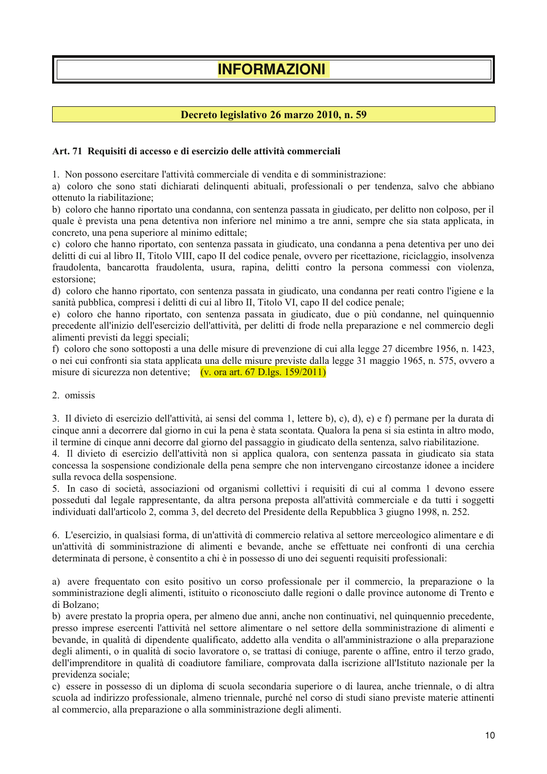# **INFORMAZIONI**

## Decreto legislativo 26 marzo 2010, n. 59

#### Art. 71 Requisiti di accesso e di esercizio delle attività commerciali

1. Non possono esercitare l'attività commerciale di vendita e di somministrazione:

a) coloro che sono stati dichiarati delinquenti abituali, professionali o per tendenza, salvo che abbiano ottenuto la riabilitazione:

b) coloro che hanno riportato una condanna, con sentenza passata in giudicato, per delitto non colposo, per il quale è prevista una pena detentiva non inferiore nel minimo a tre anni, sempre che sia stata applicata, in concreto, una pena superiore al minimo edittale;

c) coloro che hanno riportato, con sentenza passata in giudicato, una condanna a pena detentiva per uno dei delitti di cui al libro II, Titolo VIII, capo II del codice penale, ovvero per ricettazione, riciclaggio, insolvenza fraudolenta, bancarotta fraudolenta, usura, rapina, delitti contro la persona commessi con violenza, estorsione<sup>.</sup>

d) coloro che hanno riportato, con sentenza passata in giudicato, una condanna per reati contro l'igiene e la sanità pubblica, compresi i delitti di cui al libro II, Titolo VI, capo II del codice penale;

e) coloro che hanno riportato, con sentenza passata in giudicato, due o più condanne, nel quinquennio precedente all'inizio dell'esercizio dell'attività, per delitti di frode nella preparazione e nel commercio degli alimenti previsti da leggi speciali;

f) coloro che sono sottoposti a una delle misure di prevenzione di cui alla legge 27 dicembre 1956, n. 1423, o nei cui confronti sia stata applicata una delle misure previste dalla legge 31 maggio 1965, n. 575, ovvero a misure di sicurezza non detentive; (v. ora art. 67 D.lgs. 159/2011)

#### 2. omissis

3. Il divieto di esercizio dell'attività, ai sensi del comma 1, lettere b), c), d), e) e f) permane per la durata di cinque anni a decorrere dal giorno in cui la pena è stata scontata. Qualora la pena si sia estinta in altro modo, il termine di cinque anni decorre dal giorno del passaggio in giudicato della sentenza, salvo riabilitazione.

4. Il divieto di esercizio dell'attività non si applica qualora, con sentenza passata in giudicato sia stata concessa la sospensione condizionale della pena sempre che non intervengano circostanze idonee a incidere sulla revoca della sospensione.

5. In caso di società, associazioni od organismi collettivi i requisiti di cui al comma 1 devono essere posseduti dal legale rappresentante, da altra persona preposta all'attività commerciale e da tutti i soggetti individuati dall'articolo 2, comma 3, del decreto del Presidente della Repubblica 3 giugno 1998, n. 252.

6. L'esercizio, in qualsiasi forma, di un'attività di commercio relativa al settore merceologico alimentare e di un'attività di somministrazione di alimenti e bevande, anche se effettuate nei confronti di una cerchia determinata di persone, è consentito a chi è in possesso di uno dei seguenti requisiti professionali:

a) avere frequentato con esito positivo un corso professionale per il commercio, la preparazione o la somministrazione degli alimenti, istituito o riconosciuto dalle regioni o dalle province autonome di Trento e di Bolzano:

b) avere prestato la propria opera, per almeno due anni, anche non continuativi, nel quinquennio precedente, presso imprese esercenti l'attività nel settore alimentare o nel settore della somministrazione di alimenti e bevande, in qualità di dipendente qualificato, addetto alla vendita o all'amministrazione o alla preparazione degli alimenti, o in qualità di socio lavoratore o, se trattasi di coniuge, parente o affine, entro il terzo grado, dell'imprenditore in qualità di coadiutore familiare, comprovata dalla iscrizione all'Istituto nazionale per la previdenza sociale;

c) essere in possesso di un diploma di scuola secondaria superiore o di laurea, anche triennale, o di altra scuola ad indirizzo professionale, almeno triennale, purché nel corso di studi siano previste materie attinenti al commercio, alla preparazione o alla somministrazione degli alimenti.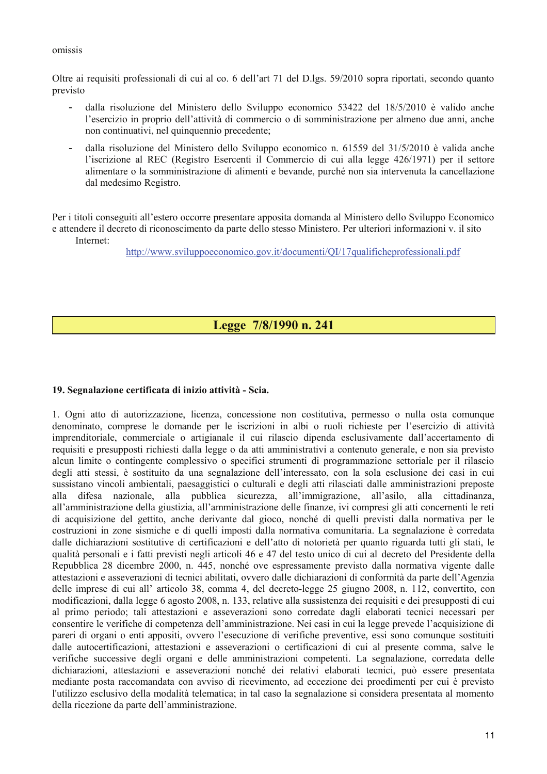#### omissis

Oltre ai requisiti professionali di cui al co. 6 dell'art 71 del D.lgs. 59/2010 sopra riportati, secondo quanto previsto

- dalla risoluzione del Ministero dello Sviluppo economico 53422 del 18/5/2010 è valido anche  $\Delta \phi$ l'esercizio in proprio dell'attività di commercio o di somministrazione per almeno due anni, anche non continuativi, nel quinquennio precedente;
- dalla risoluzione del Ministero dello Sviluppo economico n. 61559 del 31/5/2010 è valida anche  $\overline{a}$ l'iscrizione al REC (Registro Esercenti il Commercio di cui alla legge 426/1971) per il settore alimentare o la somministrazione di alimenti e bevande, purché non sia intervenuta la cancellazione dal medesimo Registro.

Per i titoli conseguiti all'estero occorre presentare apposita domanda al Ministero dello Sviluppo Economico e attendere il decreto di riconoscimento da parte dello stesso Ministero. Per ulteriori informazioni v. il sito Internet<sup>-</sup>

http://www.sviluppoeconomico.gov.it/documenti/OI/17qualificheprofessionali.pdf

# Legge 7/8/1990 n. 241

#### 19. Segnalazione certificata di inizio attività - Scia.

1. Ogni atto di autorizzazione, licenza, concessione non costitutiva, permesso o nulla osta comunque denominato, comprese le domande per le iscrizioni in albi o ruoli richieste per l'esercizio di attività imprenditoriale, commerciale o artigianale il cui rilascio dipenda esclusivamente dall'accertamento di requisiti e presupposti richiesti dalla legge o da atti amministrativi a contenuto generale, e non sia previsto alcun limite o contingente complessivo o specifici strumenti di programmazione settoriale per il rilascio degli atti stessi, è sostituito da una segnalazione dell'interessato, con la sola esclusione dei casi in cui sussistano vincoli ambientali, paesaggistici o culturali e degli atti rilasciati dalle amministrazioni preposte alla difesa nazionale, alla pubblica sicurezza, all'immigrazione, all'asilo, alla cittadinanza, all'amministrazione della giustizia, all'amministrazione delle finanze, ivi compresi gli atti concernenti le reti di acquisizione del gettito, anche derivante dal gioco, nonché di quelli previsti dalla normativa per le costruzioni in zone sismiche e di quelli imposti dalla normativa comunitaria. La segnalazione è corredata dalle dichiarazioni sostitutive di certificazioni e dell'atto di notorietà per quanto riguarda tutti gli stati, le qualità personali e i fatti previsti negli articoli 46 e 47 del testo unico di cui al decreto del Presidente della Repubblica 28 dicembre 2000, n. 445, nonché ove espressamente previsto dalla normativa vigente dalle attestazioni e asseverazioni di tecnici abilitati, ovvero dalle dichiarazioni di conformità da parte dell'Agenzia delle imprese di cui all'articolo 38, comma 4, del decreto-legge 25 giugno 2008, n. 112, convertito, con modificazioni, dalla legge 6 agosto 2008, n. 133, relative alla sussistenza dei requisiti e dei presupposti di cui al primo periodo; tali attestazioni e asseverazioni sono corredate dagli elaborati tecnici necessari per consentire le verifiche di competenza dell'amministrazione. Nei casi in cui la legge prevede l'acquisizione di pareri di organi o enti appositi, ovvero l'esecuzione di verifiche preventive, essi sono comunque sostituiti dalle autocertificazioni, attestazioni e asseverazioni o certificazioni di cui al presente comma, salve le verifiche successive degli organi e delle amministrazioni competenti. La segnalazione, corredata delle dichiarazioni, attestazioni e asseverazioni nonché dei relativi elaborati tecnici, può essere presentata mediante posta raccomandata con avviso di ricevimento, ad eccezione dei proedimenti per cui è previsto l'utilizzo esclusivo della modalità telematica; in tal caso la segnalazione si considera presentata al momento della ricezione da parte dell'amministrazione.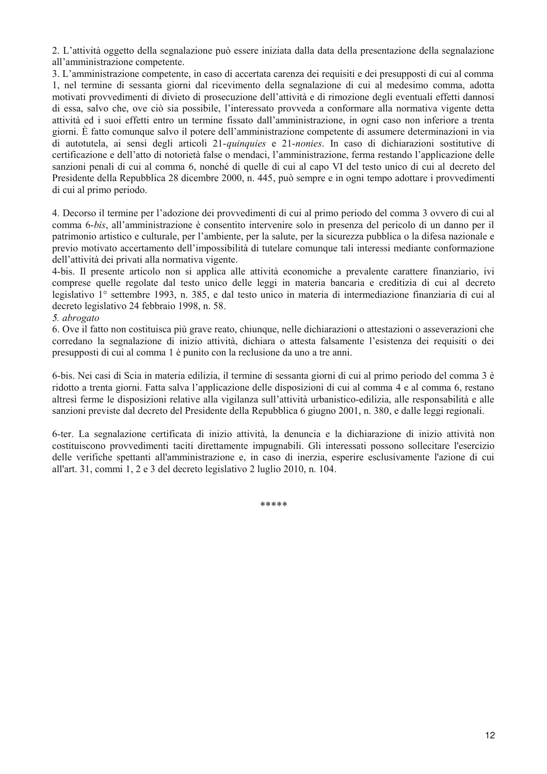2. L'attività oggetto della segnalazione può essere iniziata dalla data della presentazione della segnalazione all'amministrazione competente.

3. L'amministrazione competente, in caso di accertata carenza dei requisiti e dei presupposti di cui al comma 1, nel termine di sessanta giorni dal ricevimento della segnalazione di cui al medesimo comma, adotta motivati provvedimenti di divieto di prosecuzione dell'attività e di rimozione degli eventuali effetti dannosi di essa, salvo che, ove ciò sia possibile. l'interessato provveda a conformare alla normativa vigente detta attività ed i suoi effetti entro un termine fissato dall'amministrazione, in ogni caso non inferiore a trenta giorni. È fatto comunque salvo il potere dell'amministrazione competente di assumere determinazioni in via di autotutela, ai sensi degli articoli 21-quinquies e 21-nonies. In caso di dichiarazioni sostitutive di certificazione e dell'atto di notorietà false o mendaci, l'amministrazione, ferma restando l'applicazione delle sanzioni penali di cui al comma 6, nonché di quelle di cui al capo VI del testo unico di cui al decreto del Presidente della Repubblica 28 dicembre 2000, n. 445, può sempre e in ogni tempo adottare i provvedimenti di cui al primo periodo.

4. Decorso il termine per l'adozione dei provvedimenti di cui al primo periodo del comma 3 ovvero di cui al comma 6-bis, all'amministrazione è consentito intervenire solo in presenza del pericolo di un danno per il patrimonio artistico e culturale, per l'ambiente, per la salute, per la sicurezza pubblica o la difesa nazionale e previo motivato accertamento dell'impossibilità di tutelare comunque tali interessi mediante conformazione dell'attività dei privati alla normativa vigente.

4-bis. Il presente articolo non si applica alle attività economiche a prevalente carattere finanziario ivi comprese quelle regolate dal testo unico delle leggi in materia bancaria e creditizia di cui al decreto legislativo 1° settembre 1993, n. 385, e dal testo unico in materia di intermediazione finanziaria di cui al decreto legislativo 24 febbraio 1998, n. 58.

#### 5. abrogato

6. Ove il fatto non costituisca più grave reato, chiunque, nelle dichiarazioni o attestazioni o asseverazioni che corredano la segnalazione di inizio attività, dichiara o attesta falsamente l'esistenza dei requisiti o dei presupposti di cui al comma 1 è punito con la reclusione da uno a tre anni.

6-bis. Nei casi di Scia in materia edilizia, il termine di sessanta giorni di cui al primo periodo del comma 3 è ridotto a trenta giorni. Fatta salva l'applicazione delle disposizioni di cui al comma 4 e al comma 6, restano altresì ferme le disposizioni relative alla vigilanza sull'attività urbanistico-edilizia, alle responsabilità e alle sanzioni previste dal decreto del Presidente della Repubblica 6 giugno 2001, n. 380, e dalle leggi regionali.

6-ter. La segnalazione certificata di inizio attività, la denuncia e la dichiarazione di inizio attività non costituiscono provvedimenti taciti direttamente impugnabili. Gli interessati possono sollecitare l'esercizio delle verifiche spettanti all'amministrazione e, in caso di inerzia, esperire esclusivamente l'azione di cui all'art. 31, commi 1, 2 e 3 del decreto legislativo 2 luglio 2010, n. 104.

\*\*\*\*\*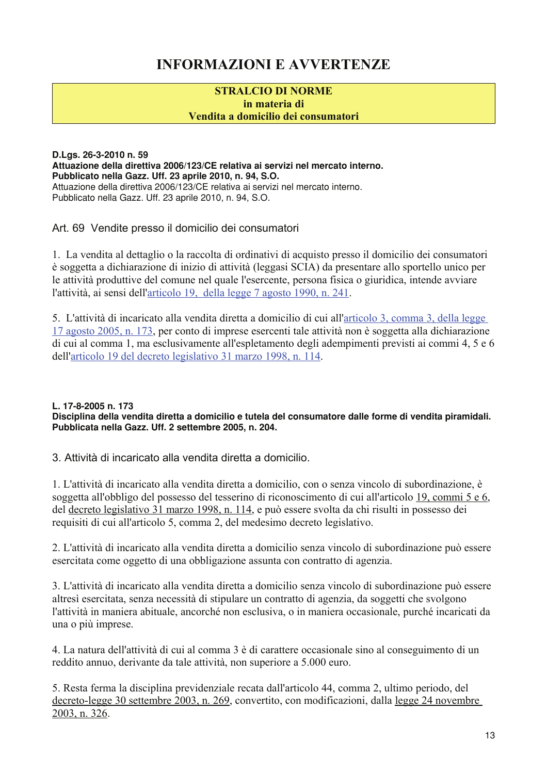# **INFORMAZIONI E AVVERTENZE**

#### **STRALCIO DI NORME** in materia di Vendita a domicilio dei consumatori

D.Lgs. 26-3-2010 n. 59 Attuazione della direttiva 2006/123/CE relativa ai servizi nel mercato interno. Pubblicato nella Gazz. Uff. 23 aprile 2010, n. 94, S.O. Attuazione della direttiva 2006/123/CE relativa ai servizi nel mercato interno. Pubblicato nella Gazz. Uff. 23 aprile 2010, n. 94, S.O.

Art. 69 Vendite presso il domicilio dei consumatori

1. La vendita al dettaglio o la raccolta di ordinativi di acquisto presso il domicilio dei consumatori è soggetta a dichiarazione di inizio di attività (leggasi SCIA) da presentare allo sportello unico per le attività produttive del comune nel quale l'esercente, persona fisica o giuridica, intende avviare l'attività, ai sensi dell'articolo 19, della legge 7 agosto 1990, n. 241.

5. L'attività di incaricato alla vendita diretta a domicilio di cui all'articolo 3, comma 3, della legge 17 agosto 2005, n. 173, per conto di imprese esercenti tale attività non è soggetta alla dichiarazione di cui al comma 1, ma esclusivamente all'espletamento degli adempimenti previsti ai commi 4, 5 e 6 dell'articolo 19 del decreto legislativo 31 marzo 1998, n. 114.

#### L. 17-8-2005 n. 173 Disciplina della vendita diretta a domicilio e tutela del consumatore dalle forme di vendita piramidali. Pubblicata nella Gazz. Uff. 2 settembre 2005, n. 204.

3. Attività di incaricato alla vendita diretta a domicilio.

1. L'attività di incaricato alla vendita diretta a domicilio, con o senza vincolo di subordinazione, è soggetta all'obbligo del possesso del tesserino di riconoscimento di cui all'articolo 19, commi 5 e 6, del decreto legislativo 31 marzo 1998, n. 114, e può essere svolta da chi risulti in possesso dei requisiti di cui all'articolo 5, comma 2, del medesimo decreto legislativo.

2. L'attività di incaricato alla vendita diretta a domicilio senza vincolo di subordinazione può essere esercitata come oggetto di una obbligazione assunta con contratto di agenzia.

3. L'attività di incaricato alla vendita diretta a domicilio senza vincolo di subordinazione può essere altresì esercitata, senza necessità di stipulare un contratto di agenzia, da soggetti che svolgono l'attività in maniera abituale, ancorché non esclusiva, o in maniera occasionale, purché incaricati da una o più imprese.

4. La natura dell'attività di cui al comma 3 è di carattere occasionale sino al conseguimento di un reddito annuo, derivante da tale attività, non superiore a 5,000 euro.

5. Resta ferma la disciplina previdenziale recata dall'articolo 44, comma 2, ultimo periodo, del decreto-legge 30 settembre 2003, n. 269, convertito, con modificazioni, dalla legge 24 novembre 2003, n. 326.